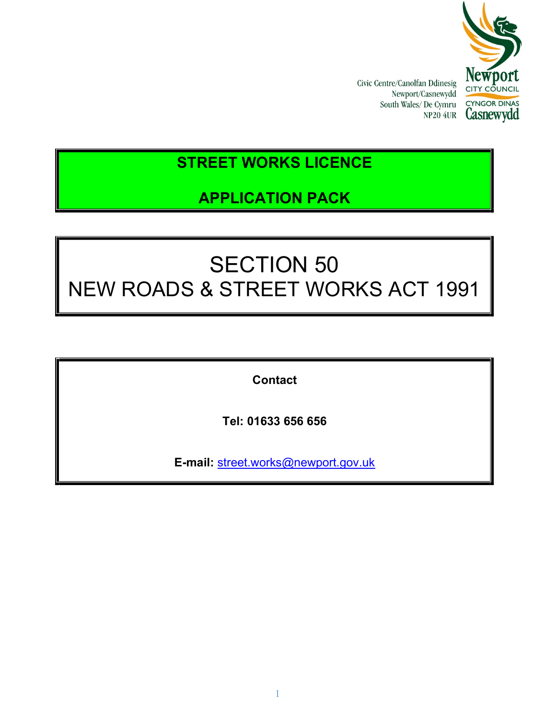

Civic Centre/Canolfan Ddinesig Newport/Casnewydd South Wales/ De Cymru NP20 4UR

## STREET WORKS LICENCE

## APPLICATION PACK

# SECTION 50 NEW ROADS & STREET WORKS ACT 1991

**Contact** 

Tel: 01633 656 656

E-mail: street.works@newport.gov.uk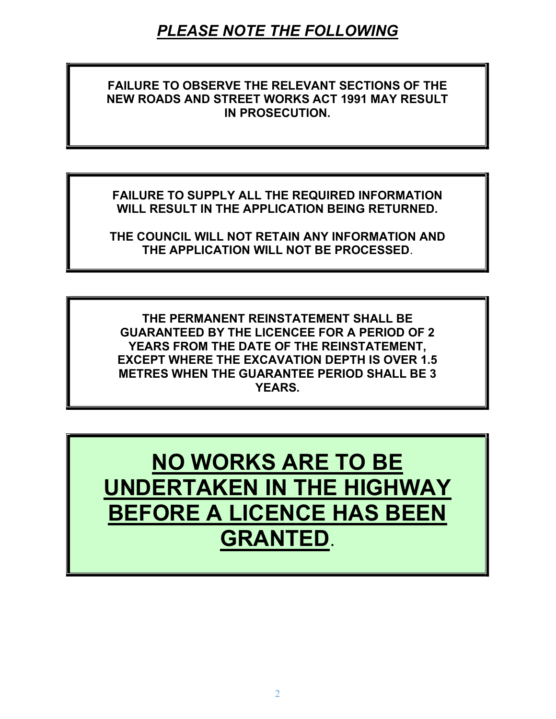## PLEASE NOTE THE FOLLOWING

FAILURE TO OBSERVE THE RELEVANT SECTIONS OF THE NEW ROADS AND STREET WORKS ACT 1991 MAY RESULT IN PROSECUTION.

FAILURE TO SUPPLY ALL THE REQUIRED INFORMATION WILL RESULT IN THE APPLICATION BEING RETURNED.

THE COUNCIL WILL NOT RETAIN ANY INFORMATION AND THE APPLICATION WILL NOT BE PROCESSED.

THE PERMANENT REINSTATEMENT SHALL BE GUARANTEED BY THE LICENCEE FOR A PERIOD OF 2 YEARS FROM THE DATE OF THE REINSTATEMENT, EXCEPT WHERE THE EXCAVATION DEPTH IS OVER 1.5 METRES WHEN THE GUARANTEE PERIOD SHALL BE 3 YEARS.

NO WORKS ARE TO BE UNDERTAKEN IN THE HIGHWAY BEFORE A LICENCE HAS BEEN GRANTED.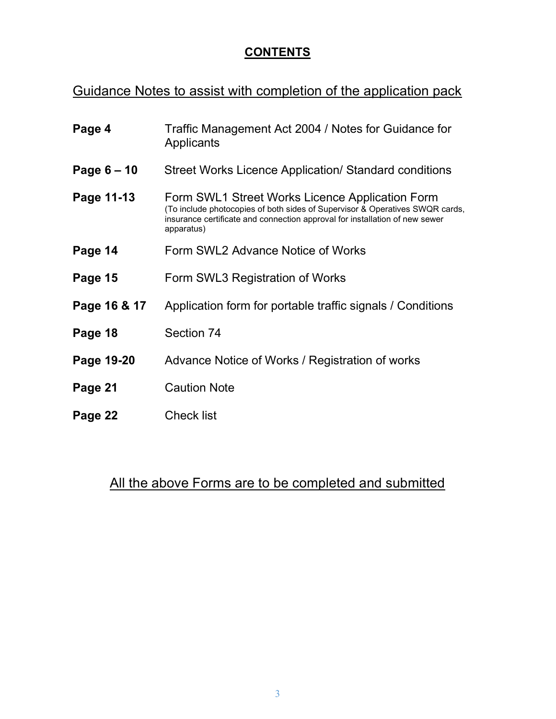## **CONTENTS**

## Guidance Notes to assist with completion of the application pack

| Page 4        | Traffic Management Act 2004 / Notes for Guidance for<br>Applicants                                                                                                                                                           |
|---------------|------------------------------------------------------------------------------------------------------------------------------------------------------------------------------------------------------------------------------|
| Page $6 - 10$ | <b>Street Works Licence Application/ Standard conditions</b>                                                                                                                                                                 |
| Page 11-13    | Form SWL1 Street Works Licence Application Form<br>(To include photocopies of both sides of Supervisor & Operatives SWQR cards,<br>insurance certificate and connection approval for installation of new sewer<br>apparatus) |
| Page 14       | Form SWL2 Advance Notice of Works                                                                                                                                                                                            |
| Page 15       | Form SWL3 Registration of Works                                                                                                                                                                                              |
| Page 16 & 17  | Application form for portable traffic signals / Conditions                                                                                                                                                                   |
| Page 18       | Section 74                                                                                                                                                                                                                   |
| Page 19-20    | Advance Notice of Works / Registration of works                                                                                                                                                                              |
| Page 21       | <b>Caution Note</b>                                                                                                                                                                                                          |
| Page 22       | <b>Check list</b>                                                                                                                                                                                                            |

## All the above Forms are to be completed and submitted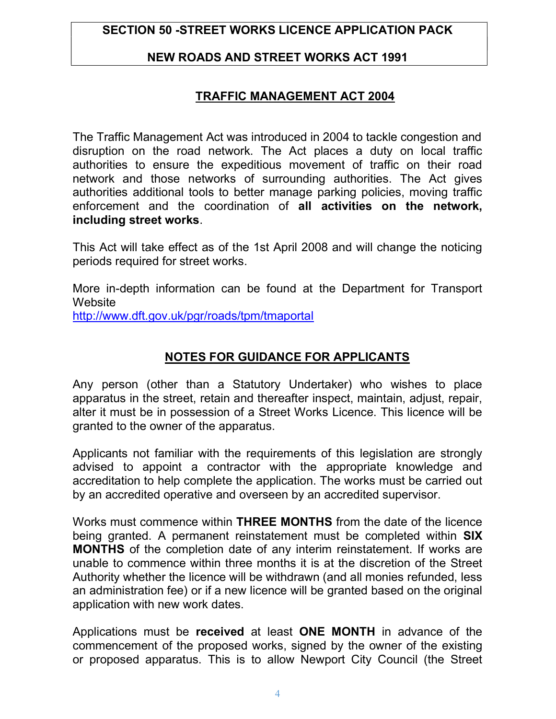## SECTION 50 -STREET WORKS LICENCE APPLICATION PACK

## NEW ROADS AND STREET WORKS ACT 1991

## TRAFFIC MANAGEMENT ACT 2004

The Traffic Management Act was introduced in 2004 to tackle congestion and disruption on the road network. The Act places a duty on local traffic authorities to ensure the expeditious movement of traffic on their road network and those networks of surrounding authorities. The Act gives authorities additional tools to better manage parking policies, moving traffic enforcement and the coordination of all activities on the network, including street works.

This Act will take effect as of the 1st April 2008 and will change the noticing periods required for street works.

More in-depth information can be found at the Department for Transport **Website** 

http://www.dft.gov.uk/pgr/roads/tpm/tmaportal

## NOTES FOR GUIDANCE FOR APPLICANTS

Any person (other than a Statutory Undertaker) who wishes to place apparatus in the street, retain and thereafter inspect, maintain, adjust, repair, alter it must be in possession of a Street Works Licence. This licence will be granted to the owner of the apparatus.

Applicants not familiar with the requirements of this legislation are strongly advised to appoint a contractor with the appropriate knowledge and accreditation to help complete the application. The works must be carried out by an accredited operative and overseen by an accredited supervisor.

Works must commence within **THREE MONTHS** from the date of the licence being granted. A permanent reinstatement must be completed within **SIX** MONTHS of the completion date of any interim reinstatement. If works are unable to commence within three months it is at the discretion of the Street Authority whether the licence will be withdrawn (and all monies refunded, less an administration fee) or if a new licence will be granted based on the original application with new work dates.

Applications must be received at least ONE MONTH in advance of the commencement of the proposed works, signed by the owner of the existing or proposed apparatus. This is to allow Newport City Council (the Street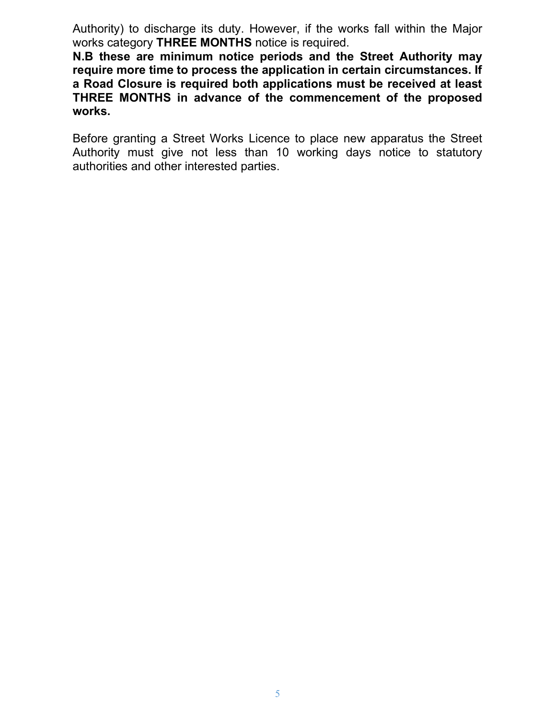Authority) to discharge its duty. However, if the works fall within the Major works category THREE MONTHS notice is required.

N.B these are minimum notice periods and the Street Authority may require more time to process the application in certain circumstances. If a Road Closure is required both applications must be received at least THREE MONTHS in advance of the commencement of the proposed works.

Before granting a Street Works Licence to place new apparatus the Street Authority must give not less than 10 working days notice to statutory authorities and other interested parties.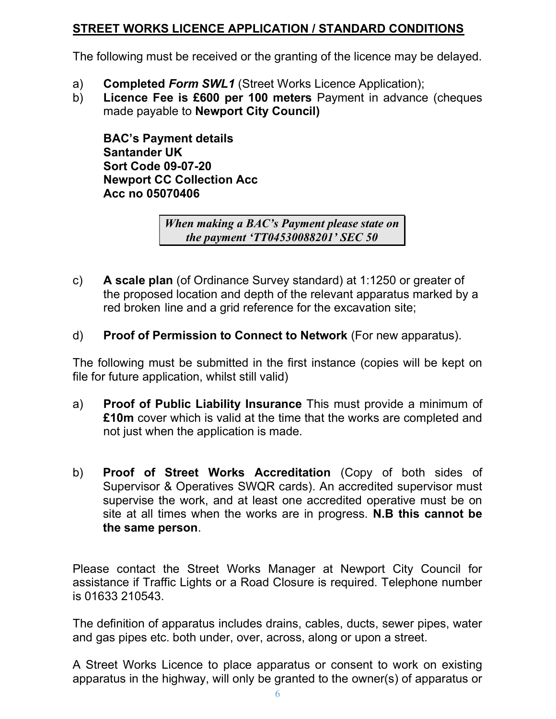## STREET WORKS LICENCE APPLICATION / STANDARD CONDITIONS

The following must be received or the granting of the licence may be delayed.

- a) **Completed Form SWL1** (Street Works Licence Application);
- b) Licence Fee is £600 per 100 meters Payment in advance (cheques made payable to Newport City Council)

BAC's Payment details Santander UK Sort Code 09-07-20 Newport CC Collection Acc Acc no 05070406

> When making a BAC's Payment please state on the payment 'TT04530088201' SEC 50

- c) A scale plan (of Ordinance Survey standard) at 1:1250 or greater of the proposed location and depth of the relevant apparatus marked by a red broken line and a grid reference for the excavation site;
- d) Proof of Permission to Connect to Network (For new apparatus).

The following must be submitted in the first instance (copies will be kept on file for future application, whilst still valid)

- a) Proof of Public Liability Insurance This must provide a minimum of £10m cover which is valid at the time that the works are completed and not just when the application is made.
- b) Proof of Street Works Accreditation (Copy of both sides of Supervisor & Operatives SWQR cards). An accredited supervisor must supervise the work, and at least one accredited operative must be on site at all times when the works are in progress. **N.B this cannot be** the same person.

Please contact the Street Works Manager at Newport City Council for assistance if Traffic Lights or a Road Closure is required. Telephone number is 01633 210543.

The definition of apparatus includes drains, cables, ducts, sewer pipes, water and gas pipes etc. both under, over, across, along or upon a street.

A Street Works Licence to place apparatus or consent to work on existing apparatus in the highway, will only be granted to the owner(s) of apparatus or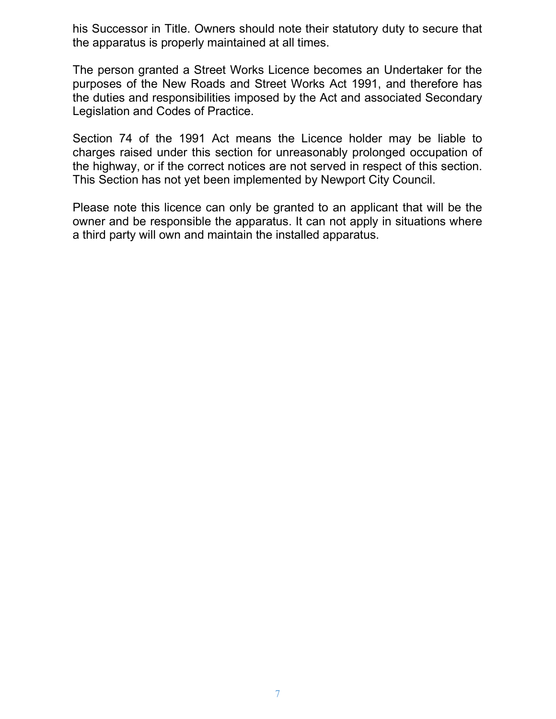his Successor in Title. Owners should note their statutory duty to secure that the apparatus is properly maintained at all times.

The person granted a Street Works Licence becomes an Undertaker for the purposes of the New Roads and Street Works Act 1991, and therefore has the duties and responsibilities imposed by the Act and associated Secondary Legislation and Codes of Practice.

Section 74 of the 1991 Act means the Licence holder may be liable to charges raised under this section for unreasonably prolonged occupation of the highway, or if the correct notices are not served in respect of this section. This Section has not yet been implemented by Newport City Council.

Please note this licence can only be granted to an applicant that will be the owner and be responsible the apparatus. It can not apply in situations where a third party will own and maintain the installed apparatus.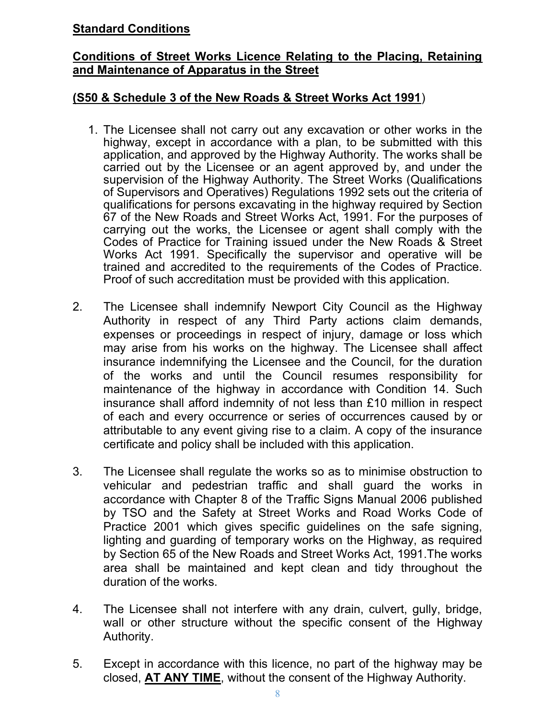## Standard Conditions

## Conditions of Street Works Licence Relating to the Placing, Retaining and Maintenance of Apparatus in the Street

### (S50 & Schedule 3 of the New Roads & Street Works Act 1991)

- 1. The Licensee shall not carry out any excavation or other works in the highway, except in accordance with a plan, to be submitted with this application, and approved by the Highway Authority. The works shall be carried out by the Licensee or an agent approved by, and under the supervision of the Highway Authority. The Street Works (Qualifications of Supervisors and Operatives) Regulations 1992 sets out the criteria of qualifications for persons excavating in the highway required by Section 67 of the New Roads and Street Works Act, 1991. For the purposes of carrying out the works, the Licensee or agent shall comply with the Codes of Practice for Training issued under the New Roads & Street Works Act 1991. Specifically the supervisor and operative will be trained and accredited to the requirements of the Codes of Practice. Proof of such accreditation must be provided with this application.
- 2. The Licensee shall indemnify Newport City Council as the Highway Authority in respect of any Third Party actions claim demands, expenses or proceedings in respect of injury, damage or loss which may arise from his works on the highway. The Licensee shall affect insurance indemnifying the Licensee and the Council, for the duration of the works and until the Council resumes responsibility for maintenance of the highway in accordance with Condition 14. Such insurance shall afford indemnity of not less than £10 million in respect of each and every occurrence or series of occurrences caused by or attributable to any event giving rise to a claim. A copy of the insurance certificate and policy shall be included with this application.
- 3. The Licensee shall regulate the works so as to minimise obstruction to vehicular and pedestrian traffic and shall guard the works in accordance with Chapter 8 of the Traffic Signs Manual 2006 published by TSO and the Safety at Street Works and Road Works Code of Practice 2001 which gives specific guidelines on the safe signing, lighting and guarding of temporary works on the Highway, as required by Section 65 of the New Roads and Street Works Act, 1991.The works area shall be maintained and kept clean and tidy throughout the duration of the works.
- 4. The Licensee shall not interfere with any drain, culvert, gully, bridge, wall or other structure without the specific consent of the Highway Authority.
- 5. Except in accordance with this licence, no part of the highway may be closed, AT ANY TIME, without the consent of the Highway Authority.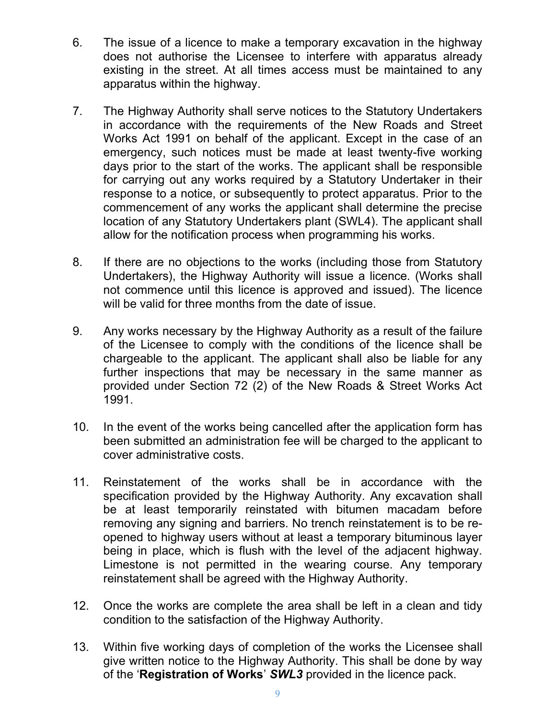- 6. The issue of a licence to make a temporary excavation in the highway does not authorise the Licensee to interfere with apparatus already existing in the street. At all times access must be maintained to any apparatus within the highway.
- 7. The Highway Authority shall serve notices to the Statutory Undertakers in accordance with the requirements of the New Roads and Street Works Act 1991 on behalf of the applicant. Except in the case of an emergency, such notices must be made at least twenty-five working days prior to the start of the works. The applicant shall be responsible for carrying out any works required by a Statutory Undertaker in their response to a notice, or subsequently to protect apparatus. Prior to the commencement of any works the applicant shall determine the precise location of any Statutory Undertakers plant (SWL4). The applicant shall allow for the notification process when programming his works.
- 8. If there are no objections to the works (including those from Statutory Undertakers), the Highway Authority will issue a licence. (Works shall not commence until this licence is approved and issued). The licence will be valid for three months from the date of issue.
- 9. Any works necessary by the Highway Authority as a result of the failure of the Licensee to comply with the conditions of the licence shall be chargeable to the applicant. The applicant shall also be liable for any further inspections that may be necessary in the same manner as provided under Section 72 (2) of the New Roads & Street Works Act 1991.
- 10. In the event of the works being cancelled after the application form has been submitted an administration fee will be charged to the applicant to cover administrative costs.
- 11. Reinstatement of the works shall be in accordance with the specification provided by the Highway Authority. Any excavation shall be at least temporarily reinstated with bitumen macadam before removing any signing and barriers. No trench reinstatement is to be reopened to highway users without at least a temporary bituminous layer being in place, which is flush with the level of the adjacent highway. Limestone is not permitted in the wearing course. Any temporary reinstatement shall be agreed with the Highway Authority.
- 12. Once the works are complete the area shall be left in a clean and tidy condition to the satisfaction of the Highway Authority.
- 13. Within five working days of completion of the works the Licensee shall give written notice to the Highway Authority. This shall be done by way of the 'Registration of Works' SWL3 provided in the licence pack.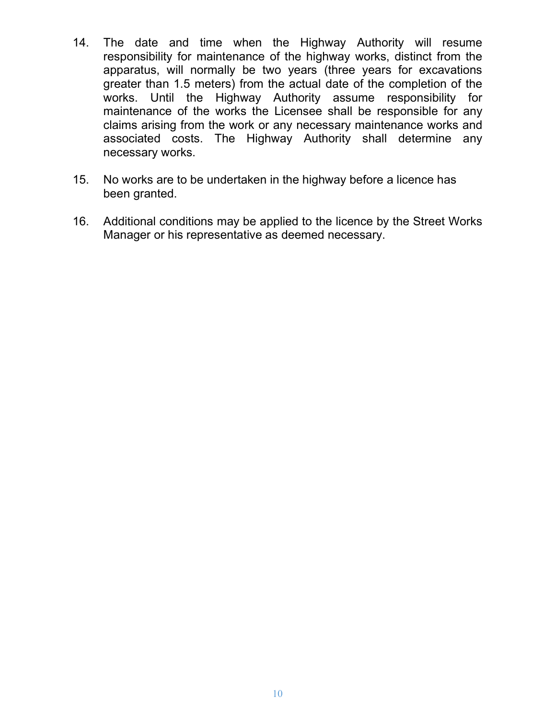- 14. The date and time when the Highway Authority will resume responsibility for maintenance of the highway works, distinct from the apparatus, will normally be two years (three years for excavations greater than 1.5 meters) from the actual date of the completion of the works. Until the Highway Authority assume responsibility for maintenance of the works the Licensee shall be responsible for any claims arising from the work or any necessary maintenance works and associated costs. The Highway Authority shall determine any necessary works.
- 15. No works are to be undertaken in the highway before a licence has been granted.
- 16. Additional conditions may be applied to the licence by the Street Works Manager or his representative as deemed necessary.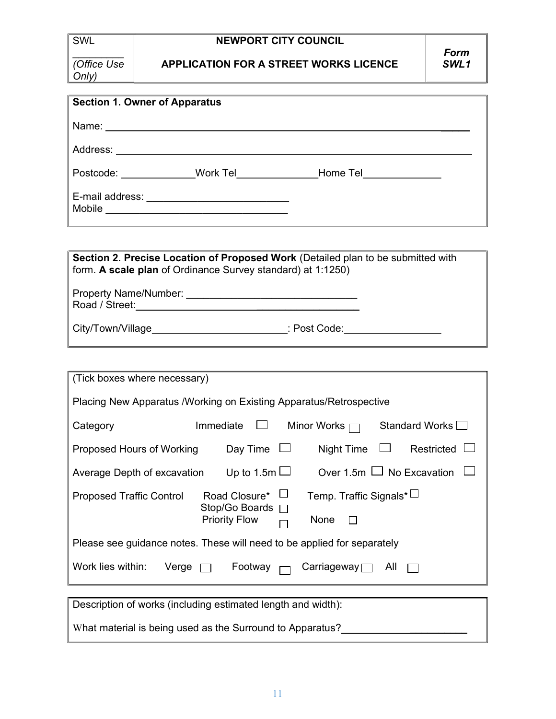Only)

(Office Use

### NEWPORT CITY COUNCIL

| <b>Section 1. Owner of Apparatus</b> |                    |                       |
|--------------------------------------|--------------------|-----------------------|
|                                      |                    |                       |
|                                      |                    |                       |
|                                      | Postcode: Work Tel | Home Tel_____________ |
|                                      |                    |                       |

| Section 2. Precise Location of Proposed Work (Detailed plan to be submitted with<br>form. A scale plan of Ordinance Survey standard) at 1:1250) |              |  |  |  |  |  |  |  |
|-------------------------------------------------------------------------------------------------------------------------------------------------|--------------|--|--|--|--|--|--|--|
| Property Name/Number:<br>Road / Street:                                                                                                         |              |  |  |  |  |  |  |  |
| City/Town/Village                                                                                                                               | : Post Code: |  |  |  |  |  |  |  |

| (Tick boxes where necessary)                                        |                                                                                                            |  |  |  |  |  |  |  |  |  |  |
|---------------------------------------------------------------------|------------------------------------------------------------------------------------------------------------|--|--|--|--|--|--|--|--|--|--|
| Placing New Apparatus / Working on Existing Apparatus/Retrospective |                                                                                                            |  |  |  |  |  |  |  |  |  |  |
| Category                                                            | Immediate<br>Minor Works $\Box$<br>Standard Works □                                                        |  |  |  |  |  |  |  |  |  |  |
| Proposed Hours of Working                                           | Day Time $\Box$<br>Night Time<br>Restricted                                                                |  |  |  |  |  |  |  |  |  |  |
| Average Depth of excavation                                         | Over 1.5m $\Box$ No Excavation<br>Up to 1.5m $\Box$                                                        |  |  |  |  |  |  |  |  |  |  |
| <b>Proposed Traffic Control</b>                                     | $\Box$<br>Temp. Traffic Signals*<br>Road Closure*<br>Stop/Go Boards $\Box$<br><b>Priority Flow</b><br>None |  |  |  |  |  |  |  |  |  |  |
|                                                                     | Please see guidance notes. These will need to be applied for separately                                    |  |  |  |  |  |  |  |  |  |  |
| Work lies within:<br>Verge                                          | $C$ arriageway $\Box$<br>Footway<br>All                                                                    |  |  |  |  |  |  |  |  |  |  |
|                                                                     |                                                                                                            |  |  |  |  |  |  |  |  |  |  |

Description of works (including estimated length and width): What material is being used as the Surround to Apparatus?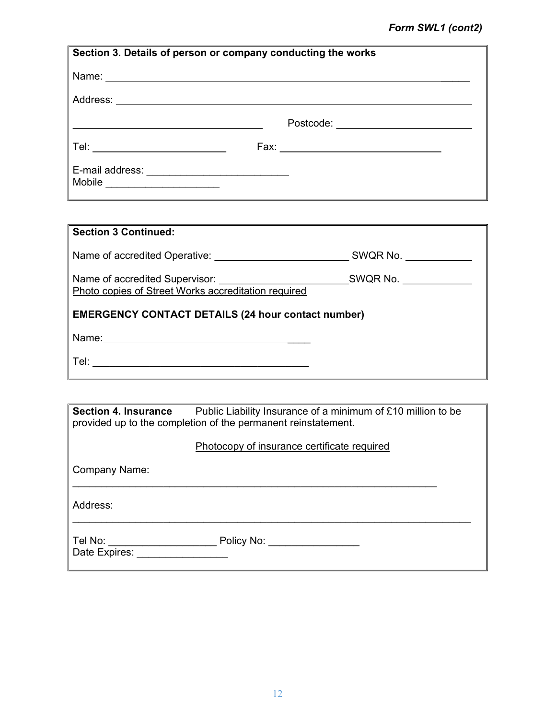| Section 3. Details of person or company conducting the works                                                   |                                       |
|----------------------------------------------------------------------------------------------------------------|---------------------------------------|
| Name: 2008 2010 2020 2021 2022 2023 2024 2022 2022 2023 2024 2022 2023 2024 2022 2023 2024 2022 2023 2024 2022 |                                       |
|                                                                                                                |                                       |
|                                                                                                                | Postcode: _________________________   |
| Tel: ________________________                                                                                  | Fax: ________________________________ |
| E-mail address: ____________________________<br>Mobile _____________________                                   |                                       |

| <b>Section 3 Continued:</b>                               |          |
|-----------------------------------------------------------|----------|
|                                                           | SWQR No. |
| Photo copies of Street Works accreditation required       | SWQR No. |
| <b>EMERGENCY CONTACT DETAILS (24 hour contact number)</b> |          |
|                                                           |          |
| Tel:                                                      |          |

| <b>Section 4. Insurance</b> | Public Liability Insurance of a minimum of £10 million to be<br>provided up to the completion of the permanent reinstatement.                                                                                                  |
|-----------------------------|--------------------------------------------------------------------------------------------------------------------------------------------------------------------------------------------------------------------------------|
|                             | Photocopy of insurance certificate required                                                                                                                                                                                    |
| Company Name:               |                                                                                                                                                                                                                                |
| Address:                    |                                                                                                                                                                                                                                |
| Tel No:<br>Date Expires:    | Policy No: the contract of the contract of the contract of the contract of the contract of the contract of the contract of the contract of the contract of the contract of the contract of the contract of the contract of the |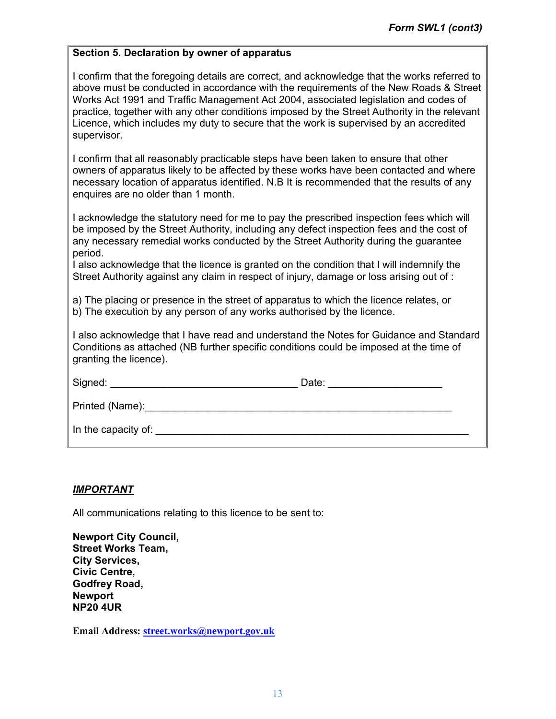#### Section 5. Declaration by owner of apparatus

I confirm that the foregoing details are correct, and acknowledge that the works referred to above must be conducted in accordance with the requirements of the New Roads & Street Works Act 1991 and Traffic Management Act 2004, associated legislation and codes of practice, together with any other conditions imposed by the Street Authority in the relevant Licence, which includes my duty to secure that the work is supervised by an accredited supervisor.

I confirm that all reasonably practicable steps have been taken to ensure that other owners of apparatus likely to be affected by these works have been contacted and where necessary location of apparatus identified. N.B It is recommended that the results of any enquires are no older than 1 month.

I acknowledge the statutory need for me to pay the prescribed inspection fees which will be imposed by the Street Authority, including any defect inspection fees and the cost of any necessary remedial works conducted by the Street Authority during the guarantee period.

I also acknowledge that the licence is granted on the condition that I will indemnify the Street Authority against any claim in respect of injury, damage or loss arising out of :

a) The placing or presence in the street of apparatus to which the licence relates, or b) The execution by any person of any works authorised by the licence.

I also acknowledge that I have read and understand the Notes for Guidance and Standard Conditions as attached (NB further specific conditions could be imposed at the time of granting the licence).

| Signed:             | Date: |
|---------------------|-------|
| Printed (Name):     |       |
| In the capacity of: |       |

### **IMPORTANT**

All communications relating to this licence to be sent to:

Email Address: street.works@newport.gov.uk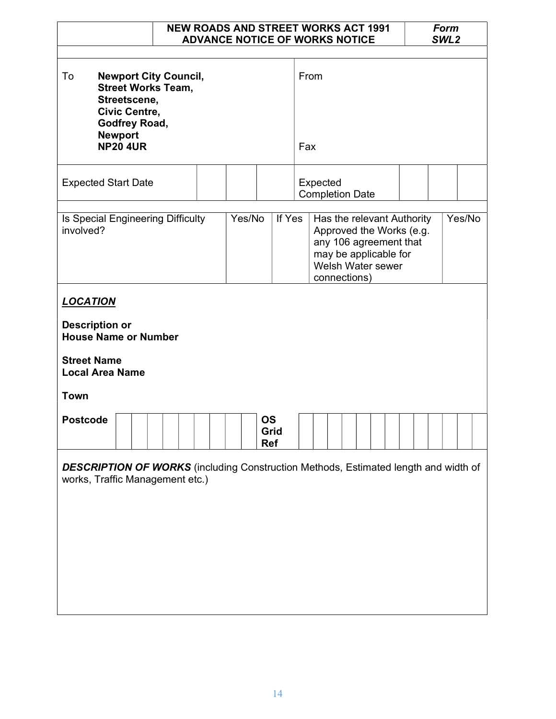|                                                                                                                                        |                                                                                                   |  |  |                                                           |        |  |                                    |                  | <b>NEW ROADS AND STREET WORKS ACT 1991</b><br><b>ADVANCE NOTICE OF WORKS NOTICE</b>                                                            |     |      |  |  |        |  |  |  |  | <b>Form</b><br>SWL <sub>2</sub> |  |  |
|----------------------------------------------------------------------------------------------------------------------------------------|---------------------------------------------------------------------------------------------------|--|--|-----------------------------------------------------------|--------|--|------------------------------------|------------------|------------------------------------------------------------------------------------------------------------------------------------------------|-----|------|--|--|--------|--|--|--|--|---------------------------------|--|--|
|                                                                                                                                        |                                                                                                   |  |  |                                                           |        |  |                                    |                  |                                                                                                                                                |     |      |  |  |        |  |  |  |  |                                 |  |  |
| To                                                                                                                                     | Streetscene,<br><b>Civic Centre,</b><br><b>Godfrey Road,</b><br><b>Newport</b><br><b>NP20 4UR</b> |  |  | <b>Newport City Council,</b><br><b>Street Works Team,</b> |        |  |                                    |                  |                                                                                                                                                | Fax | From |  |  |        |  |  |  |  |                                 |  |  |
| <b>Expected Start Date</b>                                                                                                             |                                                                                                   |  |  |                                                           |        |  | Expected<br><b>Completion Date</b> |                  |                                                                                                                                                |     |      |  |  |        |  |  |  |  |                                 |  |  |
| Is Special Engineering Difficulty<br>involved?                                                                                         |                                                                                                   |  |  |                                                           | Yes/No |  |                                    | If Yes           | Has the relevant Authority<br>Approved the Works (e.g.<br>any 106 agreement that<br>may be applicable for<br>Welsh Water sewer<br>connections) |     |      |  |  | Yes/No |  |  |  |  |                                 |  |  |
| <b>LOCATION</b><br><b>Description or</b><br><b>House Name or Number</b><br><b>Street Name</b><br><b>Local Area Name</b><br><b>Town</b> |                                                                                                   |  |  |                                                           |        |  |                                    |                  |                                                                                                                                                |     |      |  |  |        |  |  |  |  |                                 |  |  |
| <b>Postcode</b>                                                                                                                        |                                                                                                   |  |  |                                                           |        |  |                                    | <b>OS</b><br>Ref | Grid                                                                                                                                           |     |      |  |  |        |  |  |  |  |                                 |  |  |
| <b>DESCRIPTION OF WORKS</b> (including Construction Methods, Estimated length and width of<br>works, Traffic Management etc.)          |                                                                                                   |  |  |                                                           |        |  |                                    |                  |                                                                                                                                                |     |      |  |  |        |  |  |  |  |                                 |  |  |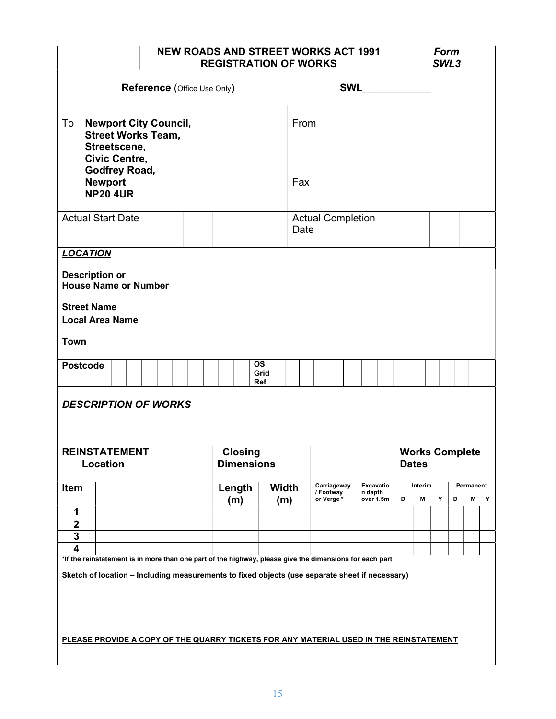|                                                                                                                                                                                                                                                                                                     | <b>NEW ROADS AND STREET WORKS ACT 1991</b> | <b>REGISTRATION OF WORKS</b> |                          |                     |                                       |                                   |   |                                       | <b>Form</b><br>SWL3 |   |                |   |
|-----------------------------------------------------------------------------------------------------------------------------------------------------------------------------------------------------------------------------------------------------------------------------------------------------|--------------------------------------------|------------------------------|--------------------------|---------------------|---------------------------------------|-----------------------------------|---|---------------------------------------|---------------------|---|----------------|---|
|                                                                                                                                                                                                                                                                                                     | Reference (Office Use Only)                |                              |                          |                     |                                       | <b>SWL</b>                        |   |                                       |                     |   |                |   |
| To<br><b>Newport City Council,</b><br><b>Street Works Team,</b><br>Streetscene,                                                                                                                                                                                                                     |                                            |                              |                          | From                |                                       |                                   |   |                                       |                     |   |                |   |
| <b>Civic Centre,</b><br>Godfrey Road,<br><b>Newport</b><br><b>NP20 4UR</b>                                                                                                                                                                                                                          |                                            |                              |                          | Fax                 |                                       |                                   |   |                                       |                     |   |                |   |
| <b>Actual Start Date</b>                                                                                                                                                                                                                                                                            |                                            |                              |                          | Date                | <b>Actual Completion</b>              |                                   |   |                                       |                     |   |                |   |
| <b>LOCATION</b><br><b>Description or</b><br><b>House Name or Number</b><br><b>Street Name</b><br><b>Local Area Name</b><br><b>Town</b>                                                                                                                                                              |                                            |                              |                          |                     |                                       |                                   |   |                                       |                     |   |                |   |
| <b>Postcode</b>                                                                                                                                                                                                                                                                                     |                                            |                              | <b>OS</b><br>Grid<br>Ref |                     |                                       |                                   |   |                                       |                     |   |                |   |
| <b>DESCRIPTION OF WORKS</b>                                                                                                                                                                                                                                                                         |                                            |                              |                          |                     |                                       |                                   |   |                                       |                     |   |                |   |
| <b>REINSTATEMENT</b><br>Location                                                                                                                                                                                                                                                                    |                                            | <b>Closing</b>               | <b>Dimensions</b>        |                     |                                       |                                   |   | <b>Works Complete</b><br><b>Dates</b> |                     |   |                |   |
| Item                                                                                                                                                                                                                                                                                                |                                            | Length<br>(m)                |                          | <b>Width</b><br>(m) | Carriageway<br>/ Footway<br>or Verge* | Excavatio<br>n depth<br>over 1.5m | D | Interim<br>M                          | Y                   | D | Permanent<br>M | Y |
| 1<br>$\mathbf 2$                                                                                                                                                                                                                                                                                    |                                            |                              |                          |                     |                                       |                                   |   |                                       |                     |   |                |   |
| 3                                                                                                                                                                                                                                                                                                   |                                            |                              |                          |                     |                                       |                                   |   |                                       |                     |   |                |   |
| 4                                                                                                                                                                                                                                                                                                   |                                            |                              |                          |                     |                                       |                                   |   |                                       |                     |   |                |   |
| *If the reinstatement is in more than one part of the highway, please give the dimensions for each part<br>Sketch of location - Including measurements to fixed objects (use separate sheet if necessary)<br>PLEASE PROVIDE A COPY OF THE QUARRY TICKETS FOR ANY MATERIAL USED IN THE REINSTATEMENT |                                            |                              |                          |                     |                                       |                                   |   |                                       |                     |   |                |   |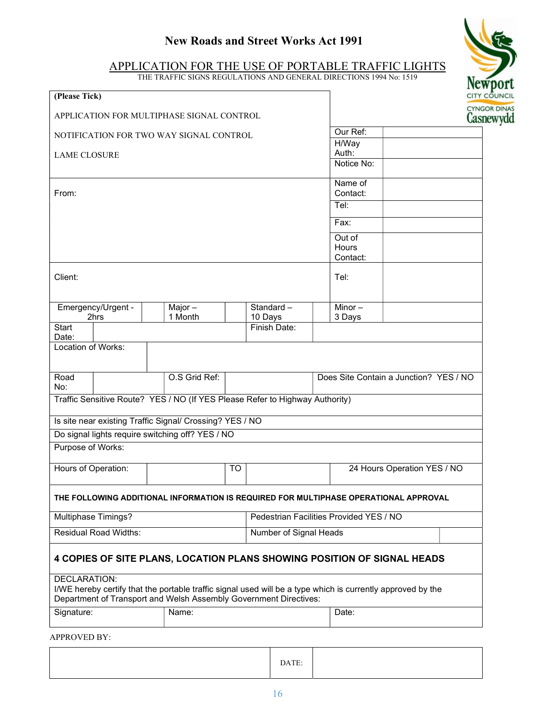## New Roads and Street Works Act 1991

#### APPLICATION FOR THE USE OF PORTABLE TRAFFIC LIGHTS THE TRAFFIC SIGNS REGULATIONS AND GENERAL DIRECTIONS 1994 No: 1519

**XT** 

| (Please Tick)                                                                                                                                                                                    |               |    | AFFIC SIGNS REGULATIONS AND GENERAL DIRECTIONS 1994 NO. 1919 |                                        |                             |                     | <b>Newport</b><br>CITY COUNCIL |  |  |  |  |
|--------------------------------------------------------------------------------------------------------------------------------------------------------------------------------------------------|---------------|----|--------------------------------------------------------------|----------------------------------------|-----------------------------|---------------------|--------------------------------|--|--|--|--|
|                                                                                                                                                                                                  |               |    |                                                              |                                        |                             | <b>CYNGOR DINAS</b> |                                |  |  |  |  |
| APPLICATION FOR MULTIPHASE SIGNAL CONTROL                                                                                                                                                        |               |    |                                                              |                                        |                             | Casnewydd           |                                |  |  |  |  |
| NOTIFICATION FOR TWO WAY SIGNAL CONTROL                                                                                                                                                          |               |    |                                                              | Our Ref:<br>H/Way                      |                             |                     |                                |  |  |  |  |
| <b>LAME CLOSURE</b>                                                                                                                                                                              |               |    |                                                              | Auth:                                  |                             |                     |                                |  |  |  |  |
|                                                                                                                                                                                                  |               |    |                                                              | Notice No:                             |                             |                     |                                |  |  |  |  |
|                                                                                                                                                                                                  |               |    |                                                              | Name of                                |                             |                     |                                |  |  |  |  |
| From:                                                                                                                                                                                            |               |    |                                                              | Contact:                               |                             |                     |                                |  |  |  |  |
|                                                                                                                                                                                                  |               |    |                                                              | Tel:                                   |                             |                     |                                |  |  |  |  |
|                                                                                                                                                                                                  |               |    |                                                              | Fax:                                   |                             |                     |                                |  |  |  |  |
|                                                                                                                                                                                                  |               |    |                                                              | Out of                                 |                             |                     |                                |  |  |  |  |
|                                                                                                                                                                                                  |               |    |                                                              | Hours                                  |                             |                     |                                |  |  |  |  |
|                                                                                                                                                                                                  |               |    |                                                              | Contact:                               |                             |                     |                                |  |  |  |  |
| Client:                                                                                                                                                                                          |               |    |                                                              | Tel:                                   |                             |                     |                                |  |  |  |  |
|                                                                                                                                                                                                  |               |    |                                                              |                                        |                             |                     |                                |  |  |  |  |
| Emergency/Urgent -                                                                                                                                                                               | Major $-$     |    | Standard-                                                    | Minor-                                 |                             |                     |                                |  |  |  |  |
| 2hrs                                                                                                                                                                                             | 1 Month       |    | 10 Days                                                      | 3 Days                                 |                             |                     |                                |  |  |  |  |
| <b>Start</b><br>Date:                                                                                                                                                                            |               |    | Finish Date:                                                 |                                        |                             |                     |                                |  |  |  |  |
| Location of Works:                                                                                                                                                                               |               |    |                                                              |                                        |                             |                     |                                |  |  |  |  |
|                                                                                                                                                                                                  |               |    |                                                              |                                        |                             |                     |                                |  |  |  |  |
| Road                                                                                                                                                                                             | O.S Grid Ref: |    |                                                              | Does Site Contain a Junction? YES / NO |                             |                     |                                |  |  |  |  |
| No:                                                                                                                                                                                              |               |    |                                                              |                                        |                             |                     |                                |  |  |  |  |
| Traffic Sensitive Route? YES / NO (If YES Please Refer to Highway Authority)                                                                                                                     |               |    |                                                              |                                        |                             |                     |                                |  |  |  |  |
| Is site near existing Traffic Signal/ Crossing? YES / NO                                                                                                                                         |               |    |                                                              |                                        |                             |                     |                                |  |  |  |  |
| Do signal lights require switching off? YES / NO                                                                                                                                                 |               |    |                                                              |                                        |                             |                     |                                |  |  |  |  |
| Purpose of Works:                                                                                                                                                                                |               |    |                                                              |                                        |                             |                     |                                |  |  |  |  |
| Hours of Operation:                                                                                                                                                                              |               | TO |                                                              |                                        | 24 Hours Operation YES / NO |                     |                                |  |  |  |  |
|                                                                                                                                                                                                  |               |    |                                                              |                                        |                             |                     |                                |  |  |  |  |
| THE FOLLOWING ADDITIONAL INFORMATION IS REQUIRED FOR MULTIPHASE OPERATIONAL APPROVAL                                                                                                             |               |    |                                                              |                                        |                             |                     |                                |  |  |  |  |
| Multiphase Timings?                                                                                                                                                                              |               |    | Pedestrian Facilities Provided YES / NO                      |                                        |                             |                     |                                |  |  |  |  |
| <b>Residual Road Widths:</b>                                                                                                                                                                     |               |    | Number of Signal Heads                                       |                                        |                             |                     |                                |  |  |  |  |
| <b>4 COPIES OF SITE PLANS, LOCATION PLANS SHOWING POSITION OF SIGNAL HEADS</b>                                                                                                                   |               |    |                                                              |                                        |                             |                     |                                |  |  |  |  |
| DECLARATION:<br>I/WE hereby certify that the portable traffic signal used will be a type which is currently approved by the<br>Department of Transport and Welsh Assembly Government Directives: |               |    |                                                              |                                        |                             |                     |                                |  |  |  |  |
| Signature:                                                                                                                                                                                       | Name:         |    |                                                              | Date:                                  |                             |                     |                                |  |  |  |  |
| <b>APPROVED BY:</b>                                                                                                                                                                              |               |    |                                                              |                                        |                             |                     |                                |  |  |  |  |

DATE: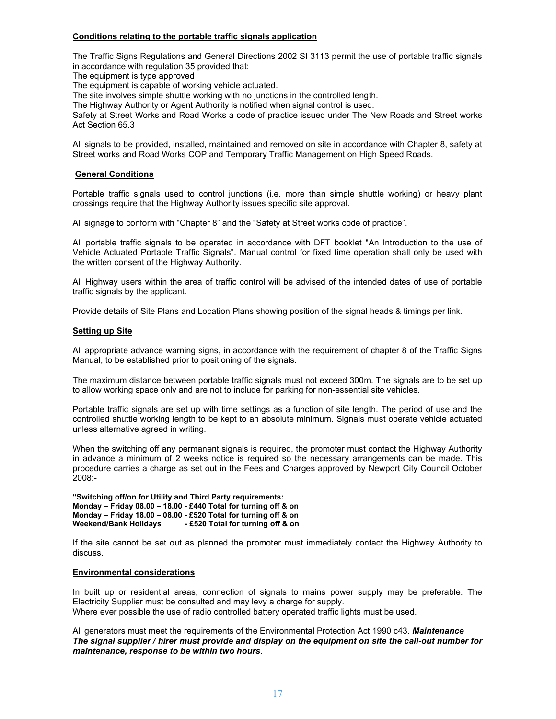#### Conditions relating to the portable traffic signals application

The Traffic Signs Regulations and General Directions 2002 SI 3113 permit the use of portable traffic signals in accordance with regulation 35 provided that:

The equipment is type approved

The equipment is capable of working vehicle actuated.

The site involves simple shuttle working with no junctions in the controlled length.

The Highway Authority or Agent Authority is notified when signal control is used.

Safety at Street Works and Road Works a code of practice issued under The New Roads and Street works Act Section 65.3

All signals to be provided, installed, maintained and removed on site in accordance with Chapter 8, safety at Street works and Road Works COP and Temporary Traffic Management on High Speed Roads.

#### General Conditions

Portable traffic signals used to control junctions (i.e. more than simple shuttle working) or heavy plant crossings require that the Highway Authority issues specific site approval.

All signage to conform with "Chapter 8" and the "Safety at Street works code of practice".

All portable traffic signals to be operated in accordance with DFT booklet "An Introduction to the use of Vehicle Actuated Portable Traffic Signals". Manual control for fixed time operation shall only be used with the written consent of the Highway Authority.

All Highway users within the area of traffic control will be advised of the intended dates of use of portable traffic signals by the applicant.

Provide details of Site Plans and Location Plans showing position of the signal heads & timings per link.

#### Setting up Site

All appropriate advance warning signs, in accordance with the requirement of chapter 8 of the Traffic Signs Manual, to be established prior to positioning of the signals.

The maximum distance between portable traffic signals must not exceed 300m. The signals are to be set up to allow working space only and are not to include for parking for non-essential site vehicles.

Portable traffic signals are set up with time settings as a function of site length. The period of use and the controlled shuttle working length to be kept to an absolute minimum. Signals must operate vehicle actuated unless alternative agreed in writing.

When the switching off any permanent signals is required, the promoter must contact the Highway Authority in advance a minimum of 2 weeks notice is required so the necessary arrangements can be made. This procedure carries a charge as set out in the Fees and Charges approved by Newport City Council October 2008:-

"Switching off/on for Utility and Third Party requirements: Monday – Friday 08.00 – 18.00 - £440 Total for turning off & on Monday – Friday 18.00 – 08.00 - £520 Total for turning off & on Weekend/Bank Holidays - £520 Total for turning off & on

If the site cannot be set out as planned the promoter must immediately contact the Highway Authority to discuss.

#### Environmental considerations

In built up or residential areas, connection of signals to mains power supply may be preferable. The Electricity Supplier must be consulted and may levy a charge for supply. Where ever possible the use of radio controlled battery operated traffic lights must be used.

All generators must meet the requirements of the Environmental Protection Act 1990 c43. Maintenance The signal supplier / hirer must provide and display on the equipment on site the call-out number for maintenance, response to be within two hours.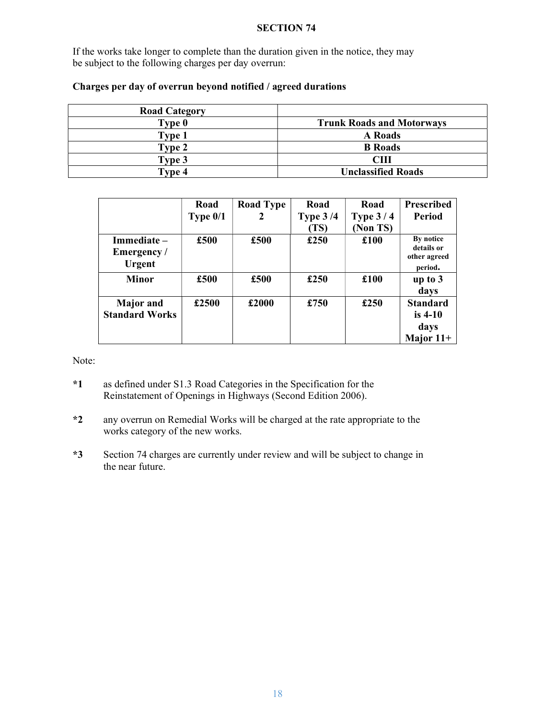#### SECTION 74

If the works take longer to complete than the duration given in the notice, they may be subject to the following charges per day overrun:

| <b>Road Category</b> |                                  |
|----------------------|----------------------------------|
| Type 0               | <b>Trunk Roads and Motorways</b> |
| Type 1               | <b>A</b> Roads                   |
| <b>Type 2</b>        | <b>B</b> Roads                   |
| <b>Type 3</b>        | CHI                              |
| $T$ <sub>Vpe</sub> 4 | <b>Unclassified Roads</b>        |

| Charges per day of overrun beyond notified / agreed durations |  |  |  |
|---------------------------------------------------------------|--|--|--|
|                                                               |  |  |  |
|                                                               |  |  |  |

|                                            | Road       | <b>Road Type</b> | Road       | Road       | <b>Prescribed</b>                                   |
|--------------------------------------------|------------|------------------|------------|------------|-----------------------------------------------------|
|                                            | Type $0/1$ | 2                | Type $3/4$ | Type $3/4$ | Period                                              |
|                                            |            |                  | (TS)       | (Non TS)   |                                                     |
| Immediate –<br>Emergency/<br><b>Urgent</b> | £500       | £500             | £250       | £100       | By notice<br>details or<br>other agreed<br>period.  |
| <b>Minor</b>                               | £500       | £500             | £250       | £100       | up to $3$                                           |
|                                            |            |                  |            |            | days                                                |
| <b>Major</b> and<br><b>Standard Works</b>  | £2500      | £2000            | £750       | £250       | <b>Standard</b><br>is $4-10$<br>days<br>Major $11+$ |

Note:

- \*1 as defined under S1.3 Road Categories in the Specification for the Reinstatement of Openings in Highways (Second Edition 2006).
- \*2 any overrun on Remedial Works will be charged at the rate appropriate to the works category of the new works.
- \*3 Section 74 charges are currently under review and will be subject to change in the near future.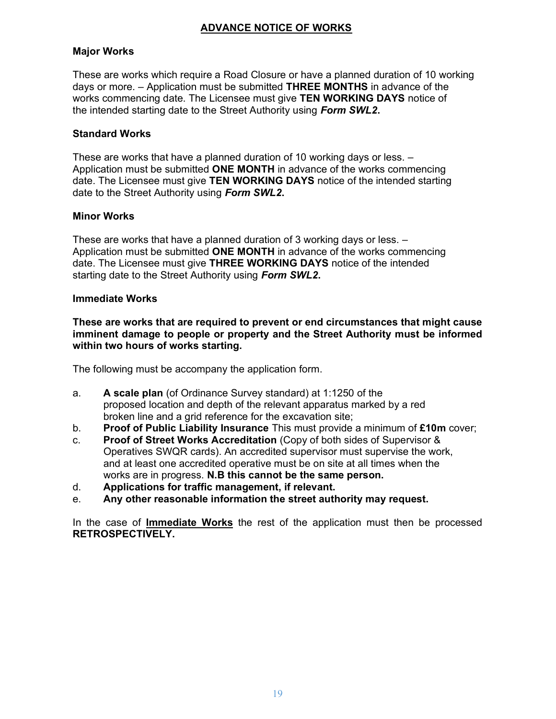### ADVANCE NOTICE OF WORKS

#### Major Works

These are works which require a Road Closure or have a planned duration of 10 working days or more. – Application must be submitted THREE MONTHS in advance of the works commencing date. The Licensee must give TEN WORKING DAYS notice of the intended starting date to the Street Authority using Form SWL2.

#### Standard Works

These are works that have a planned duration of 10 working days or less. – Application must be submitted **ONE MONTH** in advance of the works commencing date. The Licensee must give TEN WORKING DAYS notice of the intended starting date to the Street Authority using Form SWL2.

#### Minor Works

These are works that have a planned duration of 3 working days or less. – Application must be submitted ONE MONTH in advance of the works commencing date. The Licensee must give THREE WORKING DAYS notice of the intended starting date to the Street Authority using Form SWL2.

#### Immediate Works

These are works that are required to prevent or end circumstances that might cause imminent damage to people or property and the Street Authority must be informed within two hours of works starting.

The following must be accompany the application form.

- a. A scale plan (of Ordinance Survey standard) at 1:1250 of the proposed location and depth of the relevant apparatus marked by a red broken line and a grid reference for the excavation site;
- b. Proof of Public Liability Insurance This must provide a minimum of £10m cover;
- c. Proof of Street Works Accreditation (Copy of both sides of Supervisor & Operatives SWQR cards). An accredited supervisor must supervise the work, and at least one accredited operative must be on site at all times when the works are in progress. N.B this cannot be the same person.
- d. Applications for traffic management, if relevant.
- e. Any other reasonable information the street authority may request.

In the case of **Immediate Works** the rest of the application must then be processed RETROSPECTIVELY.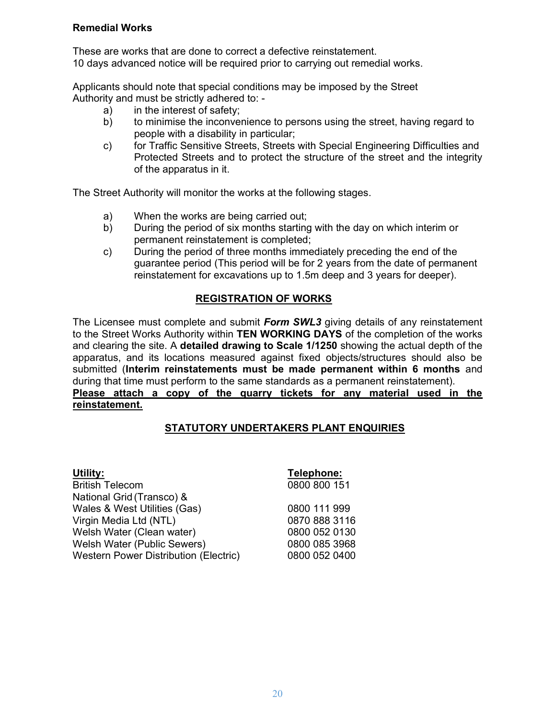#### Remedial Works

These are works that are done to correct a defective reinstatement. 10 days advanced notice will be required prior to carrying out remedial works.

Applicants should note that special conditions may be imposed by the Street Authority and must be strictly adhered to: -

- a) in the interest of safety;
- b) to minimise the inconvenience to persons using the street, having regard to people with a disability in particular;
- c) for Traffic Sensitive Streets, Streets with Special Engineering Difficulties and Protected Streets and to protect the structure of the street and the integrity of the apparatus in it.

The Street Authority will monitor the works at the following stages.

- a) When the works are being carried out;
- b) During the period of six months starting with the day on which interim or permanent reinstatement is completed;
- c) During the period of three months immediately preceding the end of the guarantee period (This period will be for 2 years from the date of permanent reinstatement for excavations up to 1.5m deep and 3 years for deeper).

#### REGISTRATION OF WORKS

The Licensee must complete and submit Form SWL3 giving details of any reinstatement to the Street Works Authority within TEN WORKING DAYS of the completion of the works and clearing the site. A detailed drawing to Scale 1/1250 showing the actual depth of the apparatus, and its locations measured against fixed objects/structures should also be submitted (Interim reinstatements must be made permanent within 6 months and during that time must perform to the same standards as a permanent reinstatement). Please attach a copy of the quarry tickets for any material used in the reinstatement.

### STATUTORY UNDERTAKERS PLANT ENQUIRIES

| Utility:                                     | Telephone:    |
|----------------------------------------------|---------------|
| <b>British Telecom</b>                       | 0800 800 151  |
|                                              |               |
| National Grid (Transco) &                    |               |
| Wales & West Utilities (Gas)                 | 0800 111 999  |
| Virgin Media Ltd (NTL)                       | 0870 888 3116 |
| Welsh Water (Clean water)                    | 0800 052 0130 |
| Welsh Water (Public Sewers)                  | 0800 085 3968 |
| <b>Western Power Distribution (Electric)</b> | 0800 052 0400 |
|                                              |               |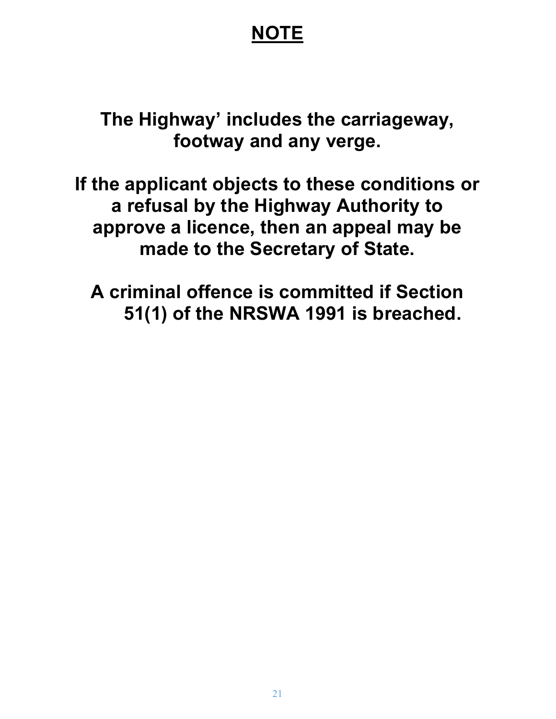## **NOTE**

The Highway' includes the carriageway, footway and any verge.

If the applicant objects to these conditions or a refusal by the Highway Authority to approve a licence, then an appeal may be made to the Secretary of State.

A criminal offence is committed if Section 51(1) of the NRSWA 1991 is breached.